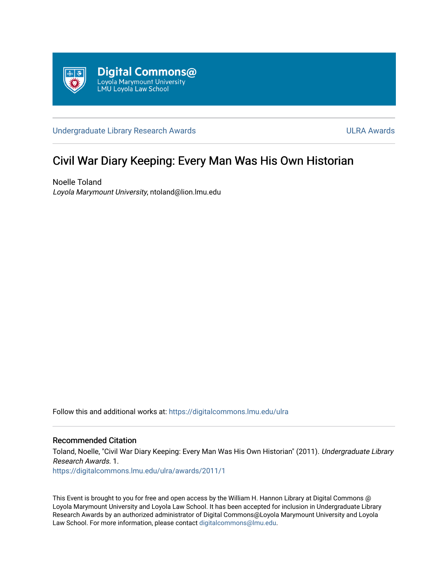

[Undergraduate Library Research Awards](https://digitalcommons.lmu.edu/ulra) **ULRA Awards** ULRA Awards

# Civil War Diary Keeping: Every Man Was His Own Historian

Noelle Toland Loyola Marymount University, ntoland@lion.lmu.edu

Follow this and additional works at: [https://digitalcommons.lmu.edu/ulra](https://digitalcommons.lmu.edu/ulra?utm_source=digitalcommons.lmu.edu%2Fulra%2Fawards%2F2011%2F1&utm_medium=PDF&utm_campaign=PDFCoverPages)

# Recommended Citation

Toland, Noelle, "Civil War Diary Keeping: Every Man Was His Own Historian" (2011). Undergraduate Library Research Awards. 1.

[https://digitalcommons.lmu.edu/ulra/awards/2011/1](https://digitalcommons.lmu.edu/ulra/awards/2011/1?utm_source=digitalcommons.lmu.edu%2Fulra%2Fawards%2F2011%2F1&utm_medium=PDF&utm_campaign=PDFCoverPages)

This Event is brought to you for free and open access by the William H. Hannon Library at Digital Commons @ Loyola Marymount University and Loyola Law School. It has been accepted for inclusion in Undergraduate Library Research Awards by an authorized administrator of Digital Commons@Loyola Marymount University and Loyola Law School. For more information, please contact [digitalcommons@lmu.edu.](mailto:digitalcommons@lmu.edu)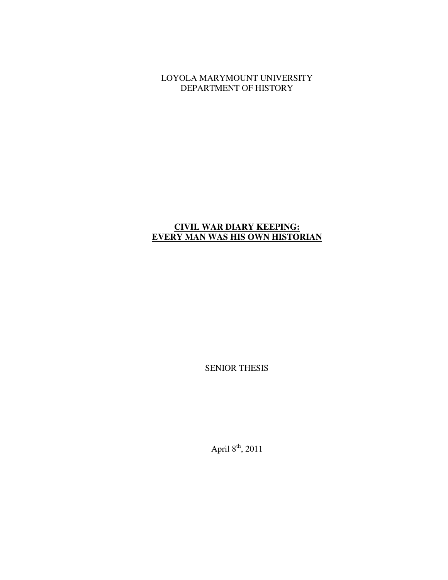LOYOLA MARYMOUNT UNIVERSITY DEPARTMENT OF HISTORY

# **CIVIL WAR DIARY KEEPING: EVERY MAN WAS HIS OWN HISTORIAN**

SENIOR THESIS

April  $8^{\text{th}}$ , 2011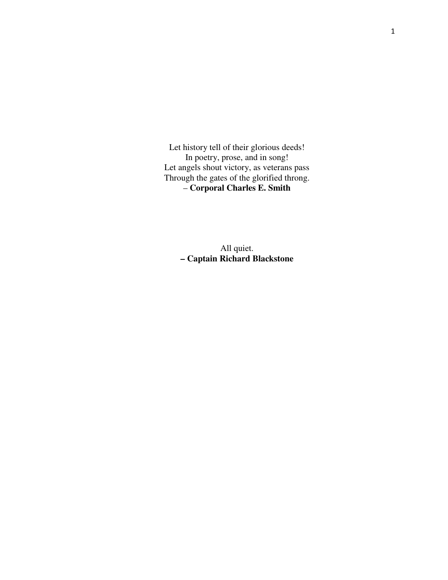Let history tell of their glorious deeds! In poetry, prose, and in song! Let angels shout victory, as veterans pass Through the gates of the glorified throng. – **Corporal Charles E. Smith** 

> All quiet. **– Captain Richard Blackstone**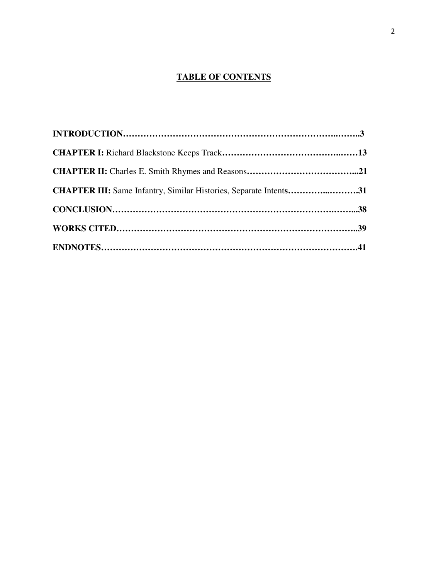# **TABLE OF CONTENTS**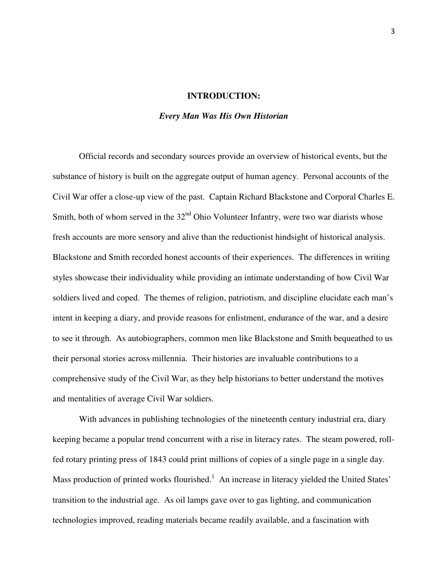#### **INTRODUCTION:**

#### *Every Man Was His Own Historian*

Official records and secondary sources provide an overview of historical events, but the substance of history is built on the aggregate output of human agency. Personal accounts of the Civil War offer a close-up view of the past. Captain Richard Blackstone and Corporal Charles E. Smith, both of whom served in the  $32<sup>nd</sup>$  Ohio Volunteer Infantry, were two war diarists whose fresh accounts are more sensory and alive than the reductionist hindsight of historical analysis. Blackstone and Smith recorded honest accounts of their experiences. The differences in writing styles showcase their individuality while providing an intimate understanding of how Civil War soldiers lived and coped. The themes of religion, patriotism, and discipline elucidate each man's intent in keeping a diary, and provide reasons for enlistment, endurance of the war, and a desire to see it through. As autobiographers, common men like Blackstone and Smith bequeathed to us their personal stories across millennia.Their histories are invaluable contributions to a comprehensive study of the Civil War, as they help historians to better understand the motives and mentalities of average Civil War soldiers.

With advances in publishing technologies of the nineteenth century industrial era, diary keeping became a popular trend concurrent with a rise in literacy rates. The steam powered, rollfed rotary printing press of 1843 could print millions of copies of a single page in a single day. Mass production of printed works flourished.<sup>1</sup> An increase in literacy yielded the United States' transition to the industrial age. As oil lamps gave over to gas lighting, and communication technologies improved, reading materials became readily available, and a fascination with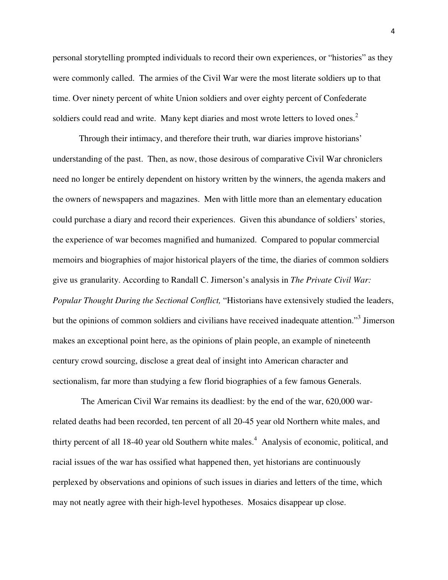personal storytelling prompted individuals to record their own experiences, or "histories" as they were commonly called. The armies of the Civil War were the most literate soldiers up to that time. Over ninety percent of white Union soldiers and over eighty percent of Confederate soldiers could read and write. Many kept diaries and most wrote letters to loved ones. $2$ 

Through their intimacy, and therefore their truth, war diaries improve historians' understanding of the past. Then, as now, those desirous of comparative Civil War chroniclers need no longer be entirely dependent on history written by the winners, the agenda makers and the owners of newspapers and magazines. Men with little more than an elementary education could purchase a diary and record their experiences. Given this abundance of soldiers' stories, the experience of war becomes magnified and humanized. Compared to popular commercial memoirs and biographies of major historical players of the time, the diaries of common soldiers give us granularity. According to Randall C. Jimerson's analysis in *The Private Civil War: Popular Thought During the Sectional Conflict,* "Historians have extensively studied the leaders, but the opinions of common soldiers and civilians have received inadequate attention."<sup>3</sup> Jimerson makes an exceptional point here, as the opinions of plain people, an example of nineteenth century crowd sourcing, disclose a great deal of insight into American character and sectionalism, far more than studying a few florid biographies of a few famous Generals.

 The American Civil War remains its deadliest: by the end of the war, 620,000 warrelated deaths had been recorded, ten percent of all 20-45 year old Northern white males, and thirty percent of all 18-40 year old Southern white males.<sup>4</sup> Analysis of economic, political, and racial issues of the war has ossified what happened then, yet historians are continuously perplexed by observations and opinions of such issues in diaries and letters of the time, which may not neatly agree with their high-level hypotheses. Mosaics disappear up close.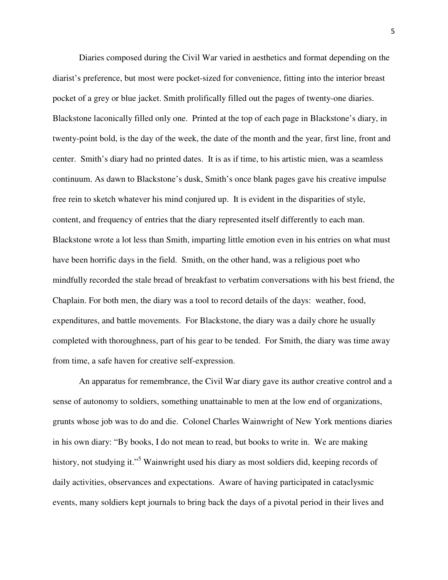Diaries composed during the Civil War varied in aesthetics and format depending on the diarist's preference, but most were pocket-sized for convenience, fitting into the interior breast pocket of a grey or blue jacket. Smith prolifically filled out the pages of twenty-one diaries. Blackstone laconically filled only one. Printed at the top of each page in Blackstone's diary, in twenty-point bold, is the day of the week, the date of the month and the year, first line, front and center. Smith's diary had no printed dates. It is as if time, to his artistic mien, was a seamless continuum. As dawn to Blackstone's dusk, Smith's once blank pages gave his creative impulse free rein to sketch whatever his mind conjured up. It is evident in the disparities of style, content, and frequency of entries that the diary represented itself differently to each man. Blackstone wrote a lot less than Smith, imparting little emotion even in his entries on what must have been horrific days in the field. Smith, on the other hand, was a religious poet who mindfully recorded the stale bread of breakfast to verbatim conversations with his best friend, the Chaplain. For both men, the diary was a tool to record details of the days: weather, food, expenditures, and battle movements. For Blackstone, the diary was a daily chore he usually completed with thoroughness, part of his gear to be tended. For Smith, the diary was time away from time, a safe haven for creative self-expression.

An apparatus for remembrance, the Civil War diary gave its author creative control and a sense of autonomy to soldiers, something unattainable to men at the low end of organizations, grunts whose job was to do and die. Colonel Charles Wainwright of New York mentions diaries in his own diary: "By books, I do not mean to read, but books to write in. We are making history, not studying it."<sup>5</sup> Wainwright used his diary as most soldiers did, keeping records of daily activities, observances and expectations. Aware of having participated in cataclysmic events, many soldiers kept journals to bring back the days of a pivotal period in their lives and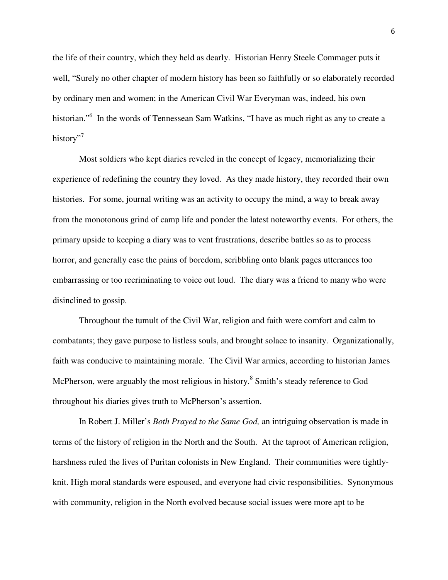the life of their country, which they held as dearly. Historian Henry Steele Commager puts it well, "Surely no other chapter of modern history has been so faithfully or so elaborately recorded by ordinary men and women; in the American Civil War Everyman was, indeed, his own historian."<sup>6</sup> In the words of Tennessean Sam Watkins, "I have as much right as any to create a history"<sup>7</sup>

Most soldiers who kept diaries reveled in the concept of legacy, memorializing their experience of redefining the country they loved. As they made history, they recorded their own histories. For some, journal writing was an activity to occupy the mind, a way to break away from the monotonous grind of camp life and ponder the latest noteworthy events. For others, the primary upside to keeping a diary was to vent frustrations, describe battles so as to process horror, and generally ease the pains of boredom, scribbling onto blank pages utterances too embarrassing or too recriminating to voice out loud. The diary was a friend to many who were disinclined to gossip.

Throughout the tumult of the Civil War, religion and faith were comfort and calm to combatants; they gave purpose to listless souls, and brought solace to insanity. Organizationally, faith was conducive to maintaining morale. The Civil War armies, according to historian James McPherson, were arguably the most religious in history.<sup>8</sup> Smith's steady reference to God throughout his diaries gives truth to McPherson's assertion.

In Robert J. Miller's *Both Prayed to the Same God,* an intriguing observation is made in terms of the history of religion in the North and the South. At the taproot of American religion, harshness ruled the lives of Puritan colonists in New England. Their communities were tightlyknit. High moral standards were espoused, and everyone had civic responsibilities. Synonymous with community, religion in the North evolved because social issues were more apt to be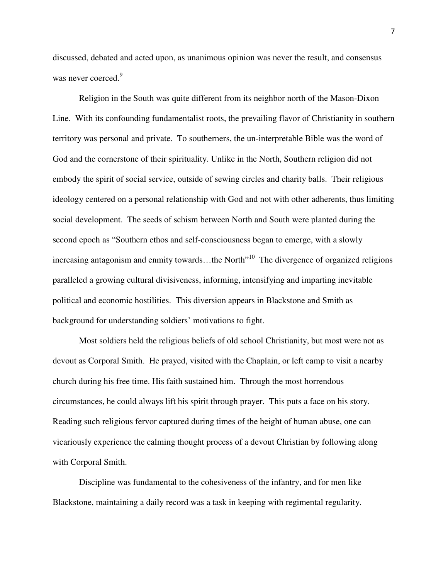discussed, debated and acted upon, as unanimous opinion was never the result, and consensus was never coerced.<sup>9</sup>

Religion in the South was quite different from its neighbor north of the Mason-Dixon Line. With its confounding fundamentalist roots, the prevailing flavor of Christianity in southern territory was personal and private. To southerners, the un-interpretable Bible was the word of God and the cornerstone of their spirituality. Unlike in the North, Southern religion did not embody the spirit of social service, outside of sewing circles and charity balls. Their religious ideology centered on a personal relationship with God and not with other adherents, thus limiting social development. The seeds of schism between North and South were planted during the second epoch as "Southern ethos and self-consciousness began to emerge, with a slowly increasing antagonism and enmity towards…the North<sup>"10</sup> The divergence of organized religions paralleled a growing cultural divisiveness, informing, intensifying and imparting inevitable political and economic hostilities. This diversion appears in Blackstone and Smith as background for understanding soldiers' motivations to fight.

Most soldiers held the religious beliefs of old school Christianity, but most were not as devout as Corporal Smith. He prayed, visited with the Chaplain, or left camp to visit a nearby church during his free time. His faith sustained him. Through the most horrendous circumstances, he could always lift his spirit through prayer. This puts a face on his story. Reading such religious fervor captured during times of the height of human abuse, one can vicariously experience the calming thought process of a devout Christian by following along with Corporal Smith.

Discipline was fundamental to the cohesiveness of the infantry, and for men like Blackstone, maintaining a daily record was a task in keeping with regimental regularity.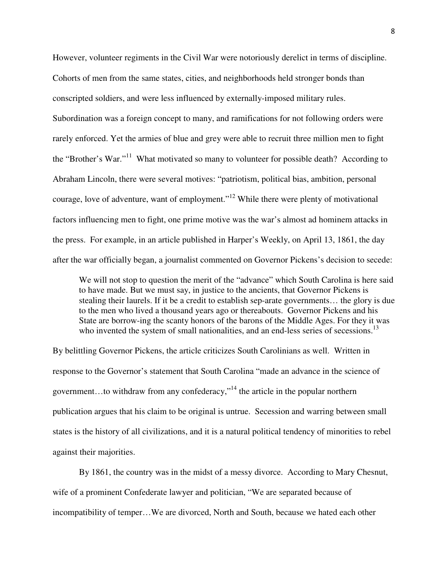However, volunteer regiments in the Civil War were notoriously derelict in terms of discipline. Cohorts of men from the same states, cities, and neighborhoods held stronger bonds than conscripted soldiers, and were less influenced by externally-imposed military rules. Subordination was a foreign concept to many, and ramifications for not following orders were rarely enforced. Yet the armies of blue and grey were able to recruit three million men to fight the "Brother's War."<sup>11</sup> What motivated so many to volunteer for possible death? According to Abraham Lincoln, there were several motives: "patriotism, political bias, ambition, personal courage, love of adventure, want of employment."<sup>12</sup> While there were plenty of motivational factors influencing men to fight, one prime motive was the war's almost ad hominem attacks in the press. For example, in an article published in Harper's Weekly, on April 13, 1861, the day after the war officially began, a journalist commented on Governor Pickens's decision to secede:

We will not stop to question the merit of the "advance" which South Carolina is here said to have made. But we must say, in justice to the ancients, that Governor Pickens is stealing their laurels. If it be a credit to establish sep-arate governments… the glory is due to the men who lived a thousand years ago or thereabouts. Governor Pickens and his State are borrow-ing the scanty honors of the barons of the Middle Ages. For they it was who invented the system of small nationalities, and an end-less series of secessions.<sup>13</sup>

By belittling Governor Pickens, the article criticizes South Carolinians as well. Written in response to the Governor's statement that South Carolina "made an advance in the science of government...to withdraw from any confederacy,"<sup>14</sup> the article in the popular northern publication argues that his claim to be original is untrue. Secession and warring between small states is the history of all civilizations, and it is a natural political tendency of minorities to rebel against their majorities.

By 1861, the country was in the midst of a messy divorce. According to Mary Chesnut, wife of a prominent Confederate lawyer and politician, "We are separated because of incompatibility of temper…We are divorced, North and South, because we hated each other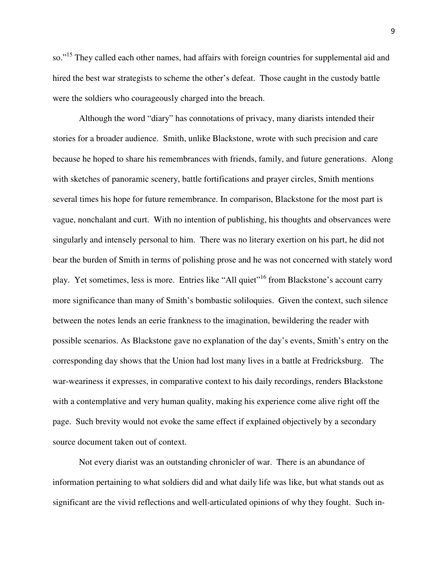so."<sup>15</sup> They called each other names, had affairs with foreign countries for supplemental aid and hired the best war strategists to scheme the other's defeat. Those caught in the custody battle were the soldiers who courageously charged into the breach.

Although the word "diary" has connotations of privacy, many diarists intended their stories for a broader audience. Smith, unlike Blackstone, wrote with such precision and care because he hoped to share his remembrances with friends, family, and future generations. Along with sketches of panoramic scenery, battle fortifications and prayer circles, Smith mentions several times his hope for future remembrance. In comparison, Blackstone for the most part is vague, nonchalant and curt. With no intention of publishing, his thoughts and observances were singularly and intensely personal to him. There was no literary exertion on his part, he did not bear the burden of Smith in terms of polishing prose and he was not concerned with stately word play. Yet sometimes, less is more. Entries like "All quiet"<sup>16</sup> from Blackstone's account carry more significance than many of Smith's bombastic soliloquies. Given the context, such silence between the notes lends an eerie frankness to the imagination, bewildering the reader with possible scenarios. As Blackstone gave no explanation of the day's events, Smith's entry on the corresponding day shows that the Union had lost many lives in a battle at Fredricksburg. The war-weariness it expresses, in comparative context to his daily recordings, renders Blackstone with a contemplative and very human quality, making his experience come alive right off the page. Such brevity would not evoke the same effect if explained objectively by a secondary source document taken out of context.

Not every diarist was an outstanding chronicler of war. There is an abundance of information pertaining to what soldiers did and what daily life was like, but what stands out as significant are the vivid reflections and well-articulated opinions of why they fought. Such in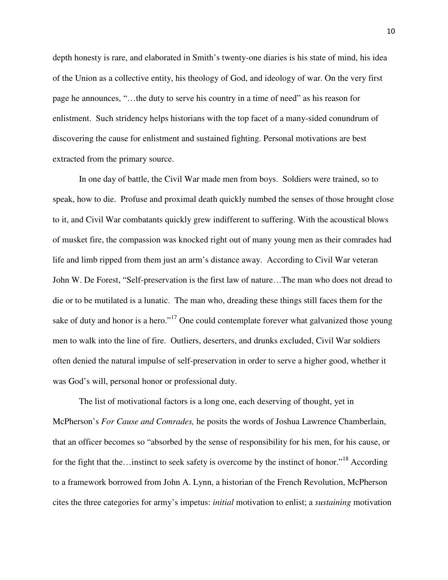depth honesty is rare, and elaborated in Smith's twenty-one diaries is his state of mind, his idea of the Union as a collective entity, his theology of God, and ideology of war. On the very first page he announces, "…the duty to serve his country in a time of need" as his reason for enlistment. Such stridency helps historians with the top facet of a many-sided conundrum of discovering the cause for enlistment and sustained fighting. Personal motivations are best extracted from the primary source.

In one day of battle, the Civil War made men from boys. Soldiers were trained, so to speak, how to die. Profuse and proximal death quickly numbed the senses of those brought close to it, and Civil War combatants quickly grew indifferent to suffering. With the acoustical blows of musket fire, the compassion was knocked right out of many young men as their comrades had life and limb ripped from them just an arm's distance away. According to Civil War veteran John W. De Forest, "Self-preservation is the first law of nature…The man who does not dread to die or to be mutilated is a lunatic. The man who, dreading these things still faces them for the sake of duty and honor is a hero."<sup>17</sup> One could contemplate forever what galvanized those young men to walk into the line of fire. Outliers, deserters, and drunks excluded, Civil War soldiers often denied the natural impulse of self-preservation in order to serve a higher good, whether it was God's will, personal honor or professional duty.

The list of motivational factors is a long one, each deserving of thought, yet in McPherson's *For Cause and Comrades,* he posits the words of Joshua Lawrence Chamberlain, that an officer becomes so "absorbed by the sense of responsibility for his men, for his cause, or for the fight that the…instinct to seek safety is overcome by the instinct of honor."<sup>18</sup> According to a framework borrowed from John A. Lynn, a historian of the French Revolution, McPherson cites the three categories for army's impetus: *initial* motivation to enlist; a *sustaining* motivation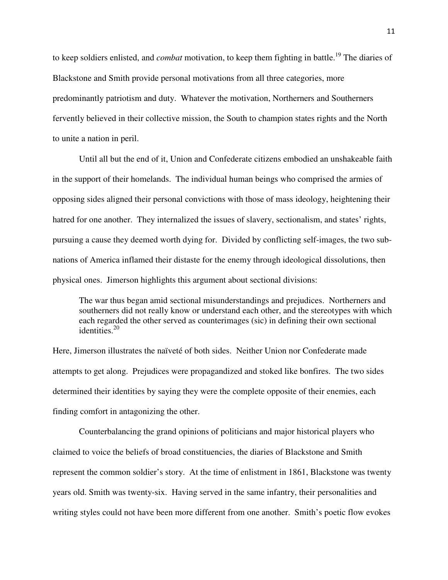to keep soldiers enlisted, and *combat* motivation, to keep them fighting in battle.<sup>19</sup> The diaries of Blackstone and Smith provide personal motivations from all three categories, more predominantly patriotism and duty. Whatever the motivation, Northerners and Southerners fervently believed in their collective mission, the South to champion states rights and the North to unite a nation in peril.

Until all but the end of it, Union and Confederate citizens embodied an unshakeable faith in the support of their homelands. The individual human beings who comprised the armies of opposing sides aligned their personal convictions with those of mass ideology, heightening their hatred for one another. They internalized the issues of slavery, sectionalism, and states' rights, pursuing a cause they deemed worth dying for. Divided by conflicting self-images, the two subnations of America inflamed their distaste for the enemy through ideological dissolutions, then physical ones. Jimerson highlights this argument about sectional divisions:

The war thus began amid sectional misunderstandings and prejudices. Northerners and southerners did not really know or understand each other, and the stereotypes with which each regarded the other served as counterimages (sic) in defining their own sectional identities.<sup>20</sup>

Here, Jimerson illustrates the naïveté of both sides. Neither Union nor Confederate made attempts to get along. Prejudices were propagandized and stoked like bonfires. The two sides determined their identities by saying they were the complete opposite of their enemies, each finding comfort in antagonizing the other.

Counterbalancing the grand opinions of politicians and major historical players who claimed to voice the beliefs of broad constituencies, the diaries of Blackstone and Smith represent the common soldier's story. At the time of enlistment in 1861, Blackstone was twenty years old. Smith was twenty-six. Having served in the same infantry, their personalities and writing styles could not have been more different from one another. Smith's poetic flow evokes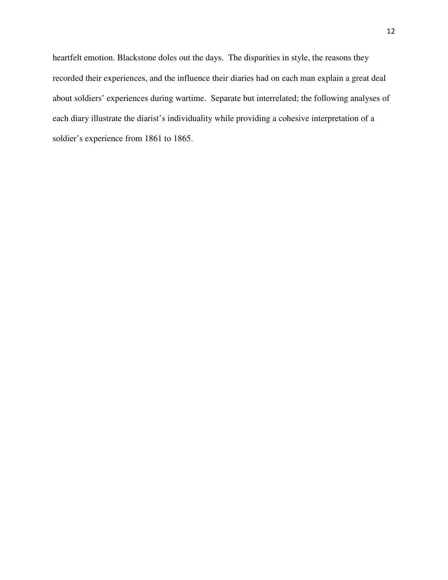heartfelt emotion. Blackstone doles out the days. The disparities in style, the reasons they recorded their experiences, and the influence their diaries had on each man explain a great deal about soldiers' experiences during wartime. Separate but interrelated; the following analyses of each diary illustrate the diarist's individuality while providing a cohesive interpretation of a soldier's experience from 1861 to 1865.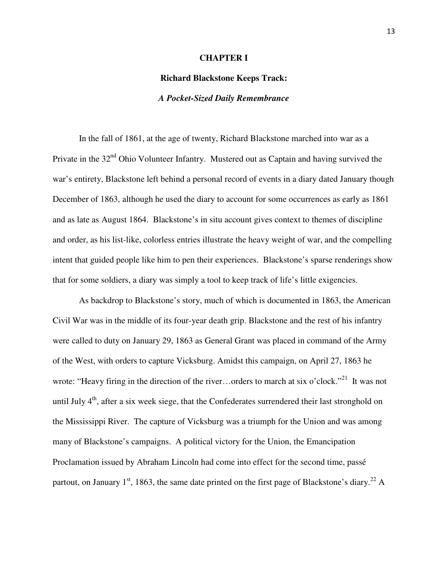#### **CHAPTER I**

# **Richard Blackstone Keeps Track:**

# *A Pocket-Sized Daily Remembrance*

In the fall of 1861, at the age of twenty, Richard Blackstone marched into war as a Private in the  $32<sup>nd</sup>$  Ohio Volunteer Infantry. Mustered out as Captain and having survived the war's entirety, Blackstone left behind a personal record of events in a diary dated January though December of 1863, although he used the diary to account for some occurrences as early as 1861 and as late as August 1864. Blackstone's in situ account gives context to themes of discipline and order, as his list-like, colorless entries illustrate the heavy weight of war, and the compelling intent that guided people like him to pen their experiences. Blackstone's sparse renderings show that for some soldiers, a diary was simply a tool to keep track of life's little exigencies.

As backdrop to Blackstone's story, much of which is documented in 1863, the American Civil War was in the middle of its four-year death grip. Blackstone and the rest of his infantry were called to duty on January 29, 1863 as General Grant was placed in command of the Army of the West, with orders to capture Vicksburg. Amidst this campaign, on April 27, 1863 he wrote: "Heavy firing in the direction of the river...orders to march at six o'clock."<sup>21</sup> It was not until July  $4<sup>th</sup>$ , after a six week siege, that the Confederates surrendered their last stronghold on the Mississippi River. The capture of Vicksburg was a triumph for the Union and was among many of Blackstone's campaigns. A political victory for the Union, the Emancipation Proclamation issued by Abraham Lincoln had come into effect for the second time, passé partout, on January  $1<sup>st</sup>$ , 1863, the same date printed on the first page of Blackstone's diary.<sup>22</sup> A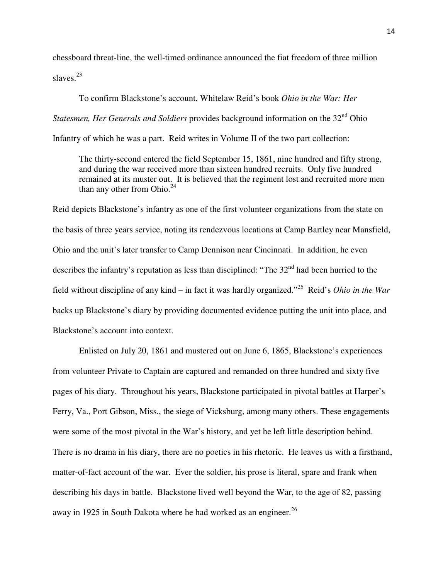chessboard threat-line, the well-timed ordinance announced the fiat freedom of three million slaves. $^{23}$ 

To confirm Blackstone's account, Whitelaw Reid's book *Ohio in the War: Her Statesmen, Her Generals and Soldiers* provides background information on the 32<sup>nd</sup> Ohio Infantry of which he was a part. Reid writes in Volume II of the two part collection:

The thirty-second entered the field September 15, 1861, nine hundred and fifty strong, and during the war received more than sixteen hundred recruits. Only five hundred remained at its muster out. It is believed that the regiment lost and recruited more men than any other from Ohio. $24$ 

Reid depicts Blackstone's infantry as one of the first volunteer organizations from the state on the basis of three years service, noting its rendezvous locations at Camp Bartley near Mansfield, Ohio and the unit's later transfer to Camp Dennison near Cincinnati. In addition, he even describes the infantry's reputation as less than disciplined: "The  $32<sup>nd</sup>$  had been hurried to the field without discipline of any kind – in fact it was hardly organized."<sup>25</sup> Reid's *Ohio in the War* backs up Blackstone's diary by providing documented evidence putting the unit into place, and Blackstone's account into context.

Enlisted on July 20, 1861 and mustered out on June 6, 1865, Blackstone's experiences from volunteer Private to Captain are captured and remanded on three hundred and sixty five pages of his diary. Throughout his years, Blackstone participated in pivotal battles at Harper's Ferry, Va., Port Gibson, Miss., the siege of Vicksburg, among many others. These engagements were some of the most pivotal in the War's history, and yet he left little description behind. There is no drama in his diary, there are no poetics in his rhetoric. He leaves us with a firsthand, matter-of-fact account of the war. Ever the soldier, his prose is literal, spare and frank when describing his days in battle. Blackstone lived well beyond the War, to the age of 82, passing away in 1925 in South Dakota where he had worked as an engineer.<sup>26</sup>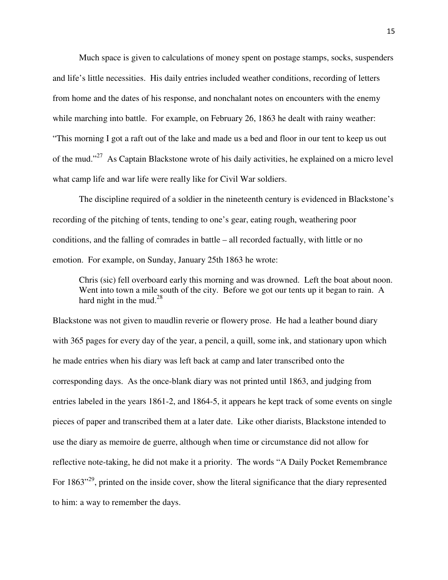Much space is given to calculations of money spent on postage stamps, socks, suspenders and life's little necessities. His daily entries included weather conditions, recording of letters from home and the dates of his response, and nonchalant notes on encounters with the enemy while marching into battle. For example, on February 26, 1863 he dealt with rainy weather: "This morning I got a raft out of the lake and made us a bed and floor in our tent to keep us out of the mud."<sup>27</sup> As Captain Blackstone wrote of his daily activities, he explained on a micro level what camp life and war life were really like for Civil War soldiers.

The discipline required of a soldier in the nineteenth century is evidenced in Blackstone's recording of the pitching of tents, tending to one's gear, eating rough, weathering poor conditions, and the falling of comrades in battle – all recorded factually, with little or no emotion. For example, on Sunday, January 25th 1863 he wrote:

Chris (sic) fell overboard early this morning and was drowned. Left the boat about noon. Went into town a mile south of the city. Before we got our tents up it began to rain. A hard night in the mud. $^{28}$ 

Blackstone was not given to maudlin reverie or flowery prose. He had a leather bound diary with 365 pages for every day of the year, a pencil, a quill, some ink, and stationary upon which he made entries when his diary was left back at camp and later transcribed onto the corresponding days. As the once-blank diary was not printed until 1863, and judging from entries labeled in the years 1861-2, and 1864-5, it appears he kept track of some events on single pieces of paper and transcribed them at a later date. Like other diarists, Blackstone intended to use the diary as memoire de guerre, although when time or circumstance did not allow for reflective note-taking, he did not make it a priority. The words "A Daily Pocket Remembrance For 1863<sup>", 29</sup>, printed on the inside cover, show the literal significance that the diary represented to him: a way to remember the days.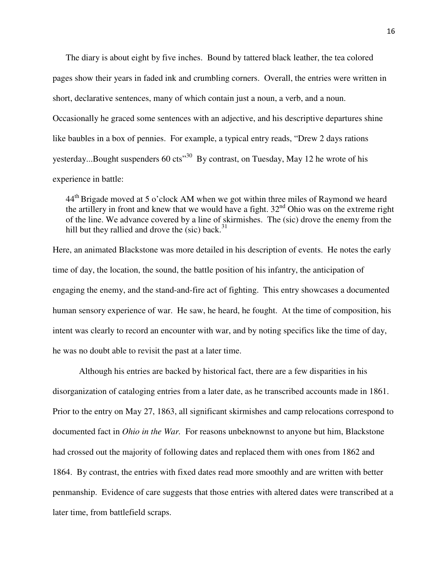The diary is about eight by five inches. Bound by tattered black leather, the tea colored pages show their years in faded ink and crumbling corners. Overall, the entries were written in short, declarative sentences, many of which contain just a noun, a verb, and a noun. Occasionally he graced some sentences with an adjective, and his descriptive departures shine like baubles in a box of pennies. For example, a typical entry reads, "Drew 2 days rations yesterday...Bought suspenders  $60 \text{ cts}^{30}$  By contrast, on Tuesday, May 12 he wrote of his experience in battle:

 $44<sup>th</sup>$  Brigade moved at 5 o'clock AM when we got within three miles of Raymond we heard the artillery in front and knew that we would have a fight.  $32<sup>nd</sup>$  Ohio was on the extreme right of the line. We advance covered by a line of skirmishes. The (sic) drove the enemy from the hill but they rallied and drove the (sic) back.<sup>31</sup>

Here, an animated Blackstone was more detailed in his description of events. He notes the early time of day, the location, the sound, the battle position of his infantry, the anticipation of engaging the enemy, and the stand-and-fire act of fighting. This entry showcases a documented human sensory experience of war. He saw, he heard, he fought. At the time of composition, his intent was clearly to record an encounter with war, and by noting specifics like the time of day, he was no doubt able to revisit the past at a later time.

 Although his entries are backed by historical fact, there are a few disparities in his disorganization of cataloging entries from a later date, as he transcribed accounts made in 1861. Prior to the entry on May 27, 1863, all significant skirmishes and camp relocations correspond to documented fact in *Ohio in the War.* For reasons unbeknownst to anyone but him, Blackstone had crossed out the majority of following dates and replaced them with ones from 1862 and 1864. By contrast, the entries with fixed dates read more smoothly and are written with better penmanship. Evidence of care suggests that those entries with altered dates were transcribed at a later time, from battlefield scraps.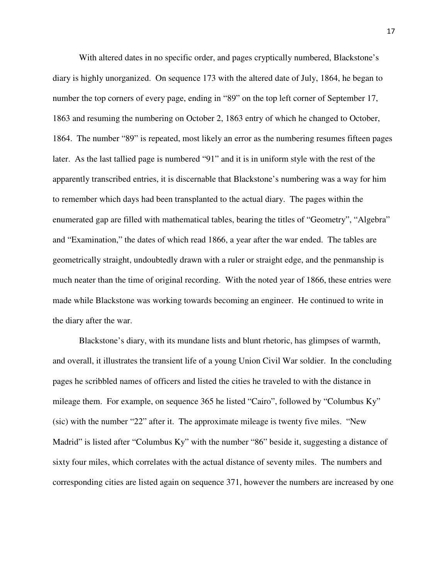With altered dates in no specific order, and pages cryptically numbered, Blackstone's diary is highly unorganized. On sequence 173 with the altered date of July, 1864, he began to number the top corners of every page, ending in "89" on the top left corner of September 17, 1863 and resuming the numbering on October 2, 1863 entry of which he changed to October, 1864. The number "89" is repeated, most likely an error as the numbering resumes fifteen pages later. As the last tallied page is numbered "91" and it is in uniform style with the rest of the apparently transcribed entries, it is discernable that Blackstone's numbering was a way for him to remember which days had been transplanted to the actual diary. The pages within the enumerated gap are filled with mathematical tables, bearing the titles of "Geometry", "Algebra" and "Examination," the dates of which read 1866, a year after the war ended. The tables are geometrically straight, undoubtedly drawn with a ruler or straight edge, and the penmanship is much neater than the time of original recording. With the noted year of 1866, these entries were made while Blackstone was working towards becoming an engineer. He continued to write in the diary after the war.

Blackstone's diary, with its mundane lists and blunt rhetoric, has glimpses of warmth, and overall, it illustrates the transient life of a young Union Civil War soldier. In the concluding pages he scribbled names of officers and listed the cities he traveled to with the distance in mileage them. For example, on sequence 365 he listed "Cairo", followed by "Columbus Ky" (sic) with the number "22" after it. The approximate mileage is twenty five miles. "New Madrid" is listed after "Columbus Ky" with the number "86" beside it, suggesting a distance of sixty four miles, which correlates with the actual distance of seventy miles. The numbers and corresponding cities are listed again on sequence 371, however the numbers are increased by one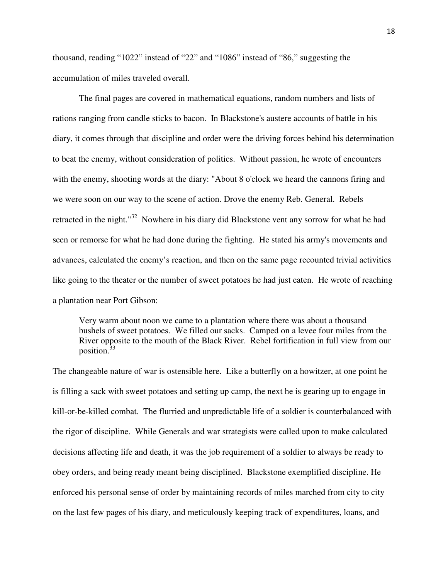thousand, reading "1022" instead of "22" and "1086" instead of "86," suggesting the accumulation of miles traveled overall.

The final pages are covered in mathematical equations, random numbers and lists of rations ranging from candle sticks to bacon. In Blackstone's austere accounts of battle in his diary, it comes through that discipline and order were the driving forces behind his determination to beat the enemy, without consideration of politics. Without passion, he wrote of encounters with the enemy, shooting words at the diary: "About 8 o'clock we heard the cannons firing and we were soon on our way to the scene of action. Drove the enemy Reb. General. Rebels retracted in the night."<sup>32</sup> Nowhere in his diary did Blackstone vent any sorrow for what he had seen or remorse for what he had done during the fighting. He stated his army's movements and advances, calculated the enemy's reaction, and then on the same page recounted trivial activities like going to the theater or the number of sweet potatoes he had just eaten. He wrote of reaching a plantation near Port Gibson:

Very warm about noon we came to a plantation where there was about a thousand bushels of sweet potatoes. We filled our sacks. Camped on a levee four miles from the River opposite to the mouth of the Black River. Rebel fortification in full view from our position.<sup>33</sup>

The changeable nature of war is ostensible here. Like a butterfly on a howitzer, at one point he is filling a sack with sweet potatoes and setting up camp, the next he is gearing up to engage in kill-or-be-killed combat. The flurried and unpredictable life of a soldier is counterbalanced with the rigor of discipline. While Generals and war strategists were called upon to make calculated decisions affecting life and death, it was the job requirement of a soldier to always be ready to obey orders, and being ready meant being disciplined. Blackstone exemplified discipline. He enforced his personal sense of order by maintaining records of miles marched from city to city on the last few pages of his diary, and meticulously keeping track of expenditures, loans, and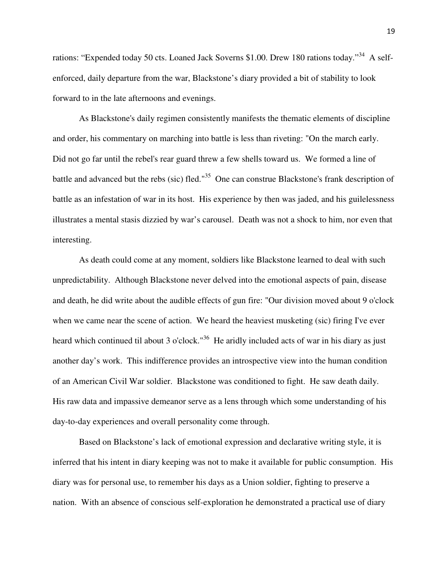rations: "Expended today 50 cts. Loaned Jack Soverns \$1.00. Drew 180 rations today."<sup>34</sup> A selfenforced, daily departure from the war, Blackstone's diary provided a bit of stability to look forward to in the late afternoons and evenings.

As Blackstone's daily regimen consistently manifests the thematic elements of discipline and order, his commentary on marching into battle is less than riveting: "On the march early. Did not go far until the rebel's rear guard threw a few shells toward us. We formed a line of battle and advanced but the rebs (sic) fled."<sup>35</sup> One can construe Blackstone's frank description of battle as an infestation of war in its host. His experience by then was jaded, and his guilelessness illustrates a mental stasis dizzied by war's carousel. Death was not a shock to him, nor even that interesting.

As death could come at any moment, soldiers like Blackstone learned to deal with such unpredictability. Although Blackstone never delved into the emotional aspects of pain, disease and death, he did write about the audible effects of gun fire: "Our division moved about 9 o'clock when we came near the scene of action. We heard the heaviest musketing (sic) firing I've ever heard which continued til about 3 o'clock."<sup>36</sup> He aridly included acts of war in his diary as just another day's work. This indifference provides an introspective view into the human condition of an American Civil War soldier. Blackstone was conditioned to fight. He saw death daily. His raw data and impassive demeanor serve as a lens through which some understanding of his day-to-day experiences and overall personality come through.

Based on Blackstone's lack of emotional expression and declarative writing style, it is inferred that his intent in diary keeping was not to make it available for public consumption. His diary was for personal use, to remember his days as a Union soldier, fighting to preserve a nation. With an absence of conscious self-exploration he demonstrated a practical use of diary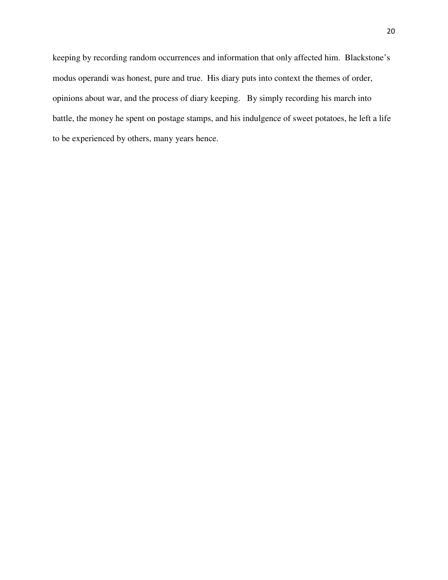keeping by recording random occurrences and information that only affected him. Blackstone's modus operandi was honest, pure and true. His diary puts into context the themes of order, opinions about war, and the process of diary keeping. By simply recording his march into battle, the money he spent on postage stamps, and his indulgence of sweet potatoes, he left a life to be experienced by others, many years hence.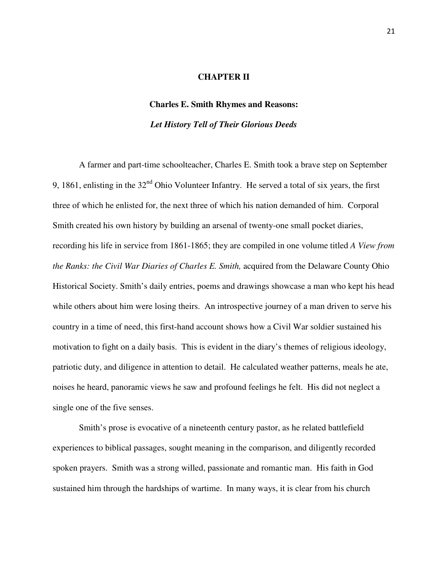# **CHAPTER II**

# **Charles E. Smith Rhymes and Reasons:**

# *Let History Tell of Their Glorious Deeds*

A farmer and part-time schoolteacher, Charles E. Smith took a brave step on September 9, 1861, enlisting in the  $32<sup>nd</sup>$  Ohio Volunteer Infantry. He served a total of six years, the first three of which he enlisted for, the next three of which his nation demanded of him. Corporal Smith created his own history by building an arsenal of twenty-one small pocket diaries, recording his life in service from 1861-1865; they are compiled in one volume titled *A View from the Ranks: the Civil War Diaries of Charles E. Smith,* acquired from the Delaware County Ohio Historical Society. Smith's daily entries, poems and drawings showcase a man who kept his head while others about him were losing theirs. An introspective journey of a man driven to serve his country in a time of need, this first-hand account shows how a Civil War soldier sustained his motivation to fight on a daily basis. This is evident in the diary's themes of religious ideology, patriotic duty, and diligence in attention to detail.He calculated weather patterns, meals he ate, noises he heard, panoramic views he saw and profound feelings he felt. His did not neglect a single one of the five senses.

Smith's prose is evocative of a nineteenth century pastor, as he related battlefield experiences to biblical passages, sought meaning in the comparison, and diligently recorded spoken prayers. Smith was a strong willed, passionate and romantic man. His faith in God sustained him through the hardships of wartime. In many ways, it is clear from his church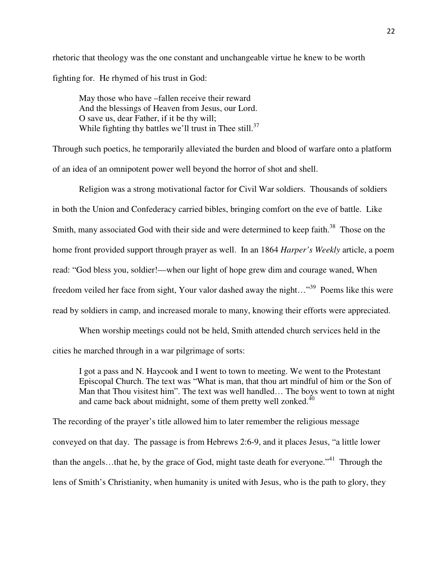rhetoric that theology was the one constant and unchangeable virtue he knew to be worth fighting for. He rhymed of his trust in God:

May those who have –fallen receive their reward And the blessings of Heaven from Jesus, our Lord. O save us, dear Father, if it be thy will; While fighting thy battles we'll trust in Thee still. $37$ 

Through such poetics, he temporarily alleviated the burden and blood of warfare onto a platform of an idea of an omnipotent power well beyond the horror of shot and shell.

 Religion was a strong motivational factor for Civil War soldiers. Thousands of soldiers in both the Union and Confederacy carried bibles, bringing comfort on the eve of battle. Like Smith, many associated God with their side and were determined to keep faith.<sup>38</sup> Those on the home front provided support through prayer as well. In an 1864 *Harper's Weekly* article, a poem read: "God bless you, soldier!—when our light of hope grew dim and courage waned, When freedom veiled her face from sight, Your valor dashed away the night..."<sup>39</sup> Poems like this were read by soldiers in camp, and increased morale to many, knowing their efforts were appreciated.

When worship meetings could not be held, Smith attended church services held in the cities he marched through in a war pilgrimage of sorts:

I got a pass and N. Haycook and I went to town to meeting. We went to the Protestant Episcopal Church. The text was "What is man, that thou art mindful of him or the Son of Man that Thou visitest him". The text was well handled… The boys went to town at night and came back about midnight, some of them pretty well zonked. $40$ 

The recording of the prayer's title allowed him to later remember the religious message conveyed on that day. The passage is from Hebrews 2:6-9, and it places Jesus, "a little lower than the angels...that he, by the grace of God, might taste death for everyone."<sup>41</sup> Through the lens of Smith's Christianity, when humanity is united with Jesus, who is the path to glory, they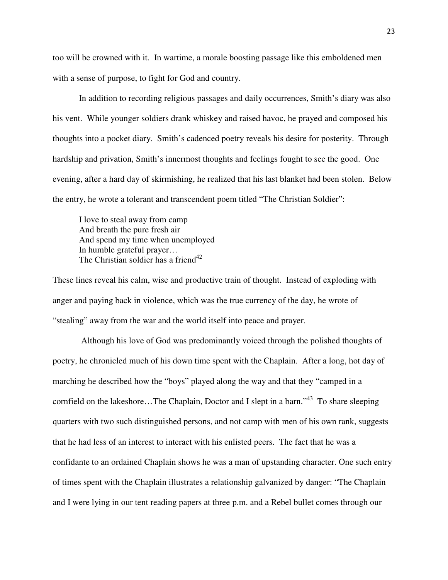too will be crowned with it. In wartime, a morale boosting passage like this emboldened men with a sense of purpose, to fight for God and country.

In addition to recording religious passages and daily occurrences, Smith's diary was also his vent. While younger soldiers drank whiskey and raised havoc, he prayed and composed his thoughts into a pocket diary. Smith's cadenced poetry reveals his desire for posterity. Through hardship and privation, Smith's innermost thoughts and feelings fought to see the good. One evening, after a hard day of skirmishing, he realized that his last blanket had been stolen. Below the entry, he wrote a tolerant and transcendent poem titled "The Christian Soldier":

 I love to steal away from camp And breath the pure fresh air And spend my time when unemployed In humble grateful prayer… The Christian soldier has a friend<sup>42</sup>

These lines reveal his calm, wise and productive train of thought. Instead of exploding with anger and paying back in violence, which was the true currency of the day, he wrote of "stealing" away from the war and the world itself into peace and prayer.

 Although his love of God was predominantly voiced through the polished thoughts of poetry, he chronicled much of his down time spent with the Chaplain. After a long, hot day of marching he described how the "boys" played along the way and that they "camped in a cornfield on the lakeshore...The Chaplain, Doctor and I slept in a barn."<sup>43</sup> To share sleeping quarters with two such distinguished persons, and not camp with men of his own rank, suggests that he had less of an interest to interact with his enlisted peers. The fact that he was a confidante to an ordained Chaplain shows he was a man of upstanding character. One such entry of times spent with the Chaplain illustrates a relationship galvanized by danger: "The Chaplain and I were lying in our tent reading papers at three p.m. and a Rebel bullet comes through our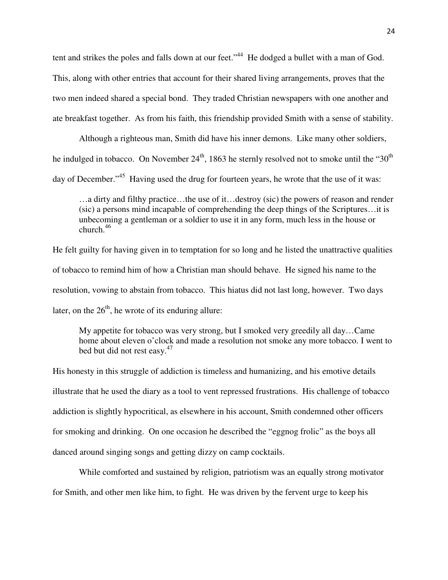tent and strikes the poles and falls down at our feet."<sup>44</sup> He dodged a bullet with a man of God. This, along with other entries that account for their shared living arrangements, proves that the two men indeed shared a special bond. They traded Christian newspapers with one another and ate breakfast together. As from his faith, this friendship provided Smith with a sense of stability.

 Although a righteous man, Smith did have his inner demons. Like many other soldiers, he indulged in tobacco. On November  $24<sup>th</sup>$ , 1863 he sternly resolved not to smoke until the "30<sup>th</sup>" day of December."<sup>45</sup> Having used the drug for fourteen years, he wrote that the use of it was:

…a dirty and filthy practice…the use of it…destroy (sic) the powers of reason and render (sic) a persons mind incapable of comprehending the deep things of the Scriptures…it is unbecoming a gentleman or a soldier to use it in any form, much less in the house or church. $46$ 

He felt guilty for having given in to temptation for so long and he listed the unattractive qualities of tobacco to remind him of how a Christian man should behave. He signed his name to the resolution, vowing to abstain from tobacco. This hiatus did not last long, however. Two days later, on the  $26<sup>th</sup>$ , he wrote of its enduring allure:

My appetite for tobacco was very strong, but I smoked very greedily all day…Came home about eleven o'clock and made a resolution not smoke any more tobacco. I went to bed but did not rest easy.<sup>47</sup>

His honesty in this struggle of addiction is timeless and humanizing, and his emotive details illustrate that he used the diary as a tool to vent repressed frustrations. His challenge of tobacco addiction is slightly hypocritical, as elsewhere in his account, Smith condemned other officers for smoking and drinking. On one occasion he described the "eggnog frolic" as the boys all danced around singing songs and getting dizzy on camp cocktails.

 While comforted and sustained by religion, patriotism was an equally strong motivator for Smith, and other men like him, to fight. He was driven by the fervent urge to keep his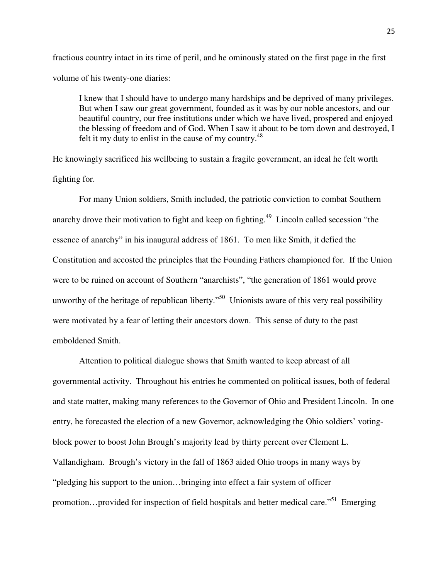fractious country intact in its time of peril, and he ominously stated on the first page in the first volume of his twenty-one diaries:

I knew that I should have to undergo many hardships and be deprived of many privileges. But when I saw our great government, founded as it was by our noble ancestors, and our beautiful country, our free institutions under which we have lived, prospered and enjoyed the blessing of freedom and of God. When I saw it about to be torn down and destroyed, I felt it my duty to enlist in the cause of my country.<sup>48</sup>

He knowingly sacrificed his wellbeing to sustain a fragile government, an ideal he felt worth fighting for.

For many Union soldiers, Smith included, the patriotic conviction to combat Southern anarchy drove their motivation to fight and keep on fighting.<sup>49</sup> Lincoln called secession "the essence of anarchy" in his inaugural address of 1861. To men like Smith, it defied the Constitution and accosted the principles that the Founding Fathers championed for. If the Union were to be ruined on account of Southern "anarchists", "the generation of 1861 would prove unworthy of the heritage of republican liberty."<sup>50</sup> Unionists aware of this very real possibility were motivated by a fear of letting their ancestors down. This sense of duty to the past emboldened Smith.

Attention to political dialogue shows that Smith wanted to keep abreast of all governmental activity. Throughout his entries he commented on political issues, both of federal and state matter, making many references to the Governor of Ohio and President Lincoln. In one entry, he forecasted the election of a new Governor, acknowledging the Ohio soldiers' votingblock power to boost John Brough's majority lead by thirty percent over Clement L. Vallandigham. Brough's victory in the fall of 1863 aided Ohio troops in many ways by "pledging his support to the union…bringing into effect a fair system of officer promotion…provided for inspection of field hospitals and better medical care."<sup>51</sup> Emerging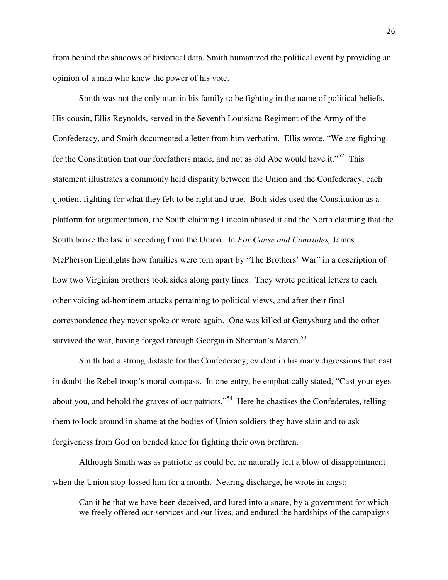from behind the shadows of historical data, Smith humanized the political event by providing an opinion of a man who knew the power of his vote.

Smith was not the only man in his family to be fighting in the name of political beliefs. His cousin, Ellis Reynolds, served in the Seventh Louisiana Regiment of the Army of the Confederacy, and Smith documented a letter from him verbatim. Ellis wrote, "We are fighting for the Constitution that our forefathers made, and not as old Abe would have it." $52$  This statement illustrates a commonly held disparity between the Union and the Confederacy, each quotient fighting for what they felt to be right and true. Both sides used the Constitution as a platform for argumentation, the South claiming Lincoln abused it and the North claiming that the South broke the law in seceding from the Union. In *For Cause and Comrades,* James McPherson highlights how families were torn apart by "The Brothers' War" in a description of how two Virginian brothers took sides along party lines. They wrote political letters to each other voicing ad-hominem attacks pertaining to political views, and after their final correspondence they never spoke or wrote again. One was killed at Gettysburg and the other survived the war, having forged through Georgia in Sherman's March.<sup>53</sup>

Smith had a strong distaste for the Confederacy, evident in his many digressions that cast in doubt the Rebel troop's moral compass. In one entry, he emphatically stated, "Cast your eyes about you, and behold the graves of our patriots."<sup>54</sup> Here he chastises the Confederates, telling them to look around in shame at the bodies of Union soldiers they have slain and to ask forgiveness from God on bended knee for fighting their own brethren.

 Although Smith was as patriotic as could be, he naturally felt a blow of disappointment when the Union stop-lossed him for a month. Nearing discharge, he wrote in angst:

Can it be that we have been deceived, and lured into a snare, by a government for which we freely offered our services and our lives, and endured the hardships of the campaigns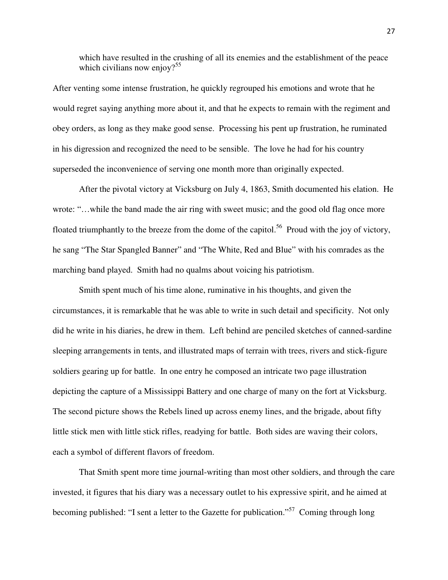which have resulted in the crushing of all its enemies and the establishment of the peace which civilians now enjoy?<sup>55</sup>

After venting some intense frustration, he quickly regrouped his emotions and wrote that he would regret saying anything more about it, and that he expects to remain with the regiment and obey orders, as long as they make good sense. Processing his pent up frustration, he ruminated in his digression and recognized the need to be sensible. The love he had for his country superseded the inconvenience of serving one month more than originally expected.

After the pivotal victory at Vicksburg on July 4, 1863, Smith documented his elation. He wrote: "…while the band made the air ring with sweet music; and the good old flag once more floated triumphantly to the breeze from the dome of the capitol.<sup>56</sup> Proud with the joy of victory, he sang "The Star Spangled Banner" and "The White, Red and Blue" with his comrades as the marching band played. Smith had no qualms about voicing his patriotism.

 Smith spent much of his time alone, ruminative in his thoughts, and given the circumstances, it is remarkable that he was able to write in such detail and specificity. Not only did he write in his diaries, he drew in them. Left behind are penciled sketches of canned-sardine sleeping arrangements in tents, and illustrated maps of terrain with trees, rivers and stick-figure soldiers gearing up for battle. In one entry he composed an intricate two page illustration depicting the capture of a Mississippi Battery and one charge of many on the fort at Vicksburg. The second picture shows the Rebels lined up across enemy lines, and the brigade, about fifty little stick men with little stick rifles, readying for battle. Both sides are waving their colors, each a symbol of different flavors of freedom.

 That Smith spent more time journal-writing than most other soldiers, and through the care invested, it figures that his diary was a necessary outlet to his expressive spirit, and he aimed at becoming published: "I sent a letter to the Gazette for publication."<sup>57</sup> Coming through long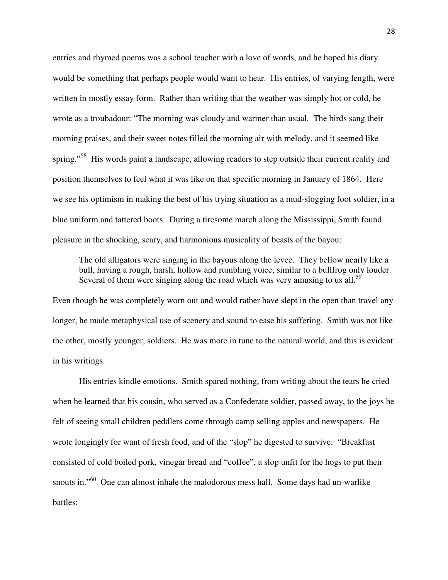entries and rhymed poems was a school teacher with a love of words, and he hoped his diary would be something that perhaps people would want to hear. His entries, of varying length, were written in mostly essay form. Rather than writing that the weather was simply hot or cold, he wrote as a troubadour: "The morning was cloudy and warmer than usual. The birds sang their morning praises, and their sweet notes filled the morning air with melody, and it seemed like spring."<sup>58</sup> His words paint a landscape, allowing readers to step outside their current reality and position themselves to feel what it was like on that specific morning in January of 1864. Here we see his optimism in making the best of his trying situation as a mud-slogging foot soldier, in a blue uniform and tattered boots. During a tiresome march along the Mississippi, Smith found pleasure in the shocking, scary, and harmonious musicality of beasts of the bayou:

The old alligators were singing in the bayous along the levee. They bellow nearly like a bull, having a rough, harsh, hollow and rumbling voice, similar to a bullfrog only louder. Several of them were singing along the road which was very amusing to us all.<sup>59</sup>

Even though he was completely worn out and would rather have slept in the open than travel any longer, he made metaphysical use of scenery and sound to ease his suffering. Smith was not like the other, mostly younger, soldiers. He was more in tune to the natural world, and this is evident in his writings.

 His entries kindle emotions. Smith spared nothing, from writing about the tears he cried when he learned that his cousin, who served as a Confederate soldier, passed away, to the joys he felt of seeing small children peddlers come through camp selling apples and newspapers. He wrote longingly for want of fresh food, and of the "slop" he digested to survive: "Breakfast consisted of cold boiled pork, vinegar bread and "coffee", a slop unfit for the hogs to put their snouts in."<sup>60</sup> One can almost inhale the malodorous mess hall. Some days had un-warlike battles: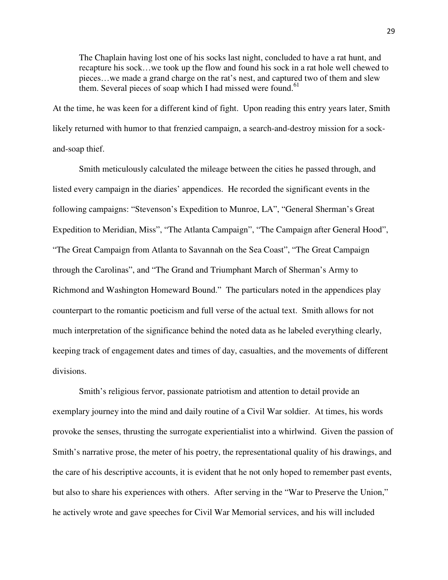The Chaplain having lost one of his socks last night, concluded to have a rat hunt, and recapture his sock…we took up the flow and found his sock in a rat hole well chewed to pieces…we made a grand charge on the rat's nest, and captured two of them and slew them. Several pieces of soap which I had missed were found.<sup>61</sup>

At the time, he was keen for a different kind of fight. Upon reading this entry years later, Smith likely returned with humor to that frenzied campaign, a search-and-destroy mission for a sockand-soap thief.

Smith meticulously calculated the mileage between the cities he passed through, and listed every campaign in the diaries' appendices. He recorded the significant events in the following campaigns: "Stevenson's Expedition to Munroe, LA", "General Sherman's Great Expedition to Meridian, Miss", "The Atlanta Campaign", "The Campaign after General Hood", "The Great Campaign from Atlanta to Savannah on the Sea Coast", "The Great Campaign through the Carolinas", and "The Grand and Triumphant March of Sherman's Army to Richmond and Washington Homeward Bound." The particulars noted in the appendices play counterpart to the romantic poeticism and full verse of the actual text. Smith allows for not much interpretation of the significance behind the noted data as he labeled everything clearly, keeping track of engagement dates and times of day, casualties, and the movements of different divisions.

Smith's religious fervor, passionate patriotism and attention to detail provide an exemplary journey into the mind and daily routine of a Civil War soldier. At times, his words provoke the senses, thrusting the surrogate experientialist into a whirlwind. Given the passion of Smith's narrative prose, the meter of his poetry, the representational quality of his drawings, and the care of his descriptive accounts, it is evident that he not only hoped to remember past events, but also to share his experiences with others. After serving in the "War to Preserve the Union," he actively wrote and gave speeches for Civil War Memorial services, and his will included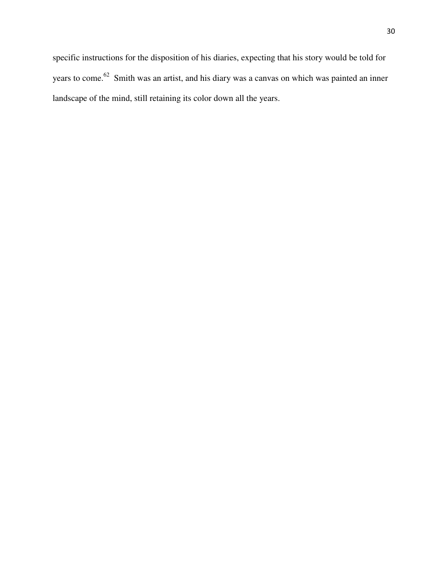specific instructions for the disposition of his diaries, expecting that his story would be told for years to come.<sup>62</sup> Smith was an artist, and his diary was a canvas on which was painted an inner landscape of the mind, still retaining its color down all the years.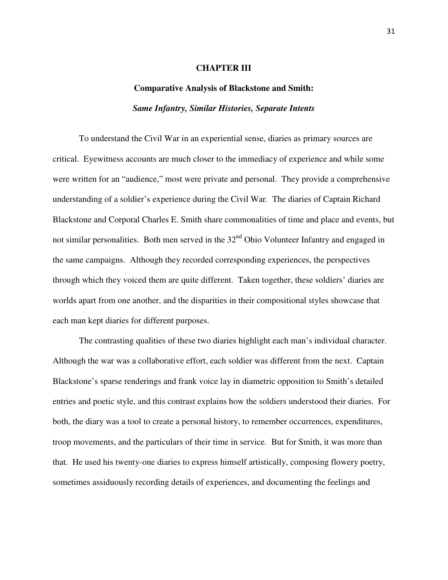#### **CHAPTER III**

# **Comparative Analysis of Blackstone and Smith:**  *Same Infantry, Similar Histories, Separate Intents*

To understand the Civil War in an experiential sense, diaries as primary sources are critical. Eyewitness accounts are much closer to the immediacy of experience and while some were written for an "audience," most were private and personal. They provide a comprehensive understanding of a soldier's experience during the Civil War. The diaries of Captain Richard Blackstone and Corporal Charles E. Smith share commonalities of time and place and events, but not similar personalities. Both men served in the 32<sup>nd</sup> Ohio Volunteer Infantry and engaged in the same campaigns. Although they recorded corresponding experiences, the perspectives through which they voiced them are quite different. Taken together, these soldiers' diaries are worlds apart from one another, and the disparities in their compositional styles showcase that each man kept diaries for different purposes.

The contrasting qualities of these two diaries highlight each man's individual character. Although the war was a collaborative effort, each soldier was different from the next. Captain Blackstone's sparse renderings and frank voice lay in diametric opposition to Smith's detailed entries and poetic style, and this contrast explains how the soldiers understood their diaries. For both, the diary was a tool to create a personal history, to remember occurrences, expenditures, troop movements, and the particulars of their time in service. But for Smith, it was more than that. He used his twenty-one diaries to express himself artistically, composing flowery poetry, sometimes assiduously recording details of experiences, and documenting the feelings and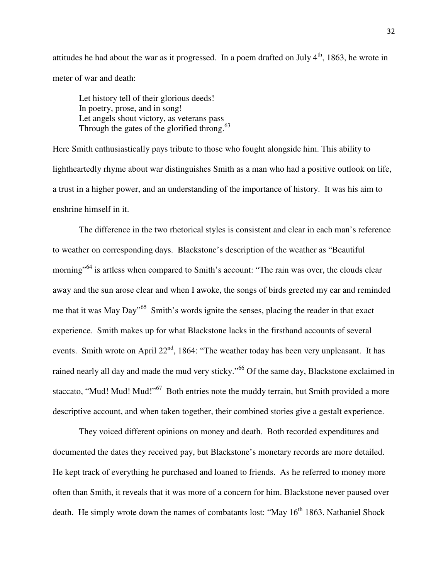attitudes he had about the war as it progressed. In a poem drafted on July  $4<sup>th</sup>$ , 1863, he wrote in meter of war and death:

Let history tell of their glorious deeds! In poetry, prose, and in song! Let angels shout victory, as veterans pass Through the gates of the glorified throng.<sup>63</sup>

Here Smith enthusiastically pays tribute to those who fought alongside him. This ability to lightheartedly rhyme about war distinguishes Smith as a man who had a positive outlook on life, a trust in a higher power, and an understanding of the importance of history. It was his aim to enshrine himself in it.

The difference in the two rhetorical styles is consistent and clear in each man's reference to weather on corresponding days. Blackstone's description of the weather as "Beautiful morning<sup>"64</sup> is artless when compared to Smith's account: "The rain was over, the clouds clear away and the sun arose clear and when I awoke, the songs of birds greeted my ear and reminded me that it was May Day<sup>565</sup> Smith's words ignite the senses, placing the reader in that exact experience. Smith makes up for what Blackstone lacks in the firsthand accounts of several events. Smith wrote on April  $22<sup>nd</sup>$ , 1864: "The weather today has been very unpleasant. It has rained nearly all day and made the mud very sticky."<sup>66</sup> Of the same day, Blackstone exclaimed in staccato, "Mud! Mud! Mud!"<sup>67</sup> Both entries note the muddy terrain, but Smith provided a more descriptive account, and when taken together, their combined stories give a gestalt experience.

They voiced different opinions on money and death. Both recorded expenditures and documented the dates they received pay, but Blackstone's monetary records are more detailed. He kept track of everything he purchased and loaned to friends. As he referred to money more often than Smith, it reveals that it was more of a concern for him. Blackstone never paused over death. He simply wrote down the names of combatants lost: "May  $16<sup>th</sup> 1863$ . Nathaniel Shock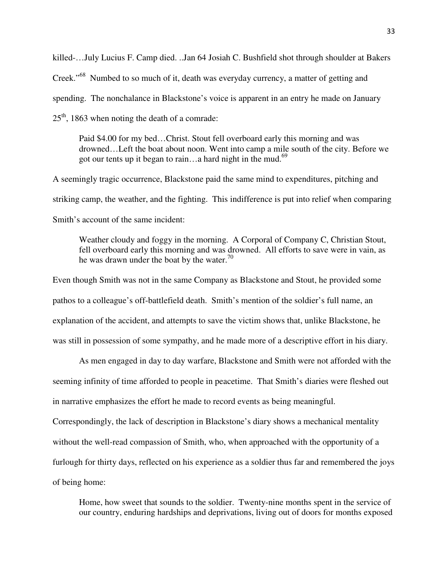killed-…July Lucius F. Camp died. ..Jan 64 Josiah C. Bushfield shot through shoulder at Bakers Creek."<sup>68</sup> Numbed to so much of it, death was everyday currency, a matter of getting and spending. The nonchalance in Blackstone's voice is apparent in an entry he made on January  $25<sup>th</sup>$ , 1863 when noting the death of a comrade:

Paid \$4.00 for my bed…Christ. Stout fell overboard early this morning and was drowned…Left the boat about noon. Went into camp a mile south of the city. Before we got our tents up it began to rain...a hard night in the mud.<sup>69</sup>

A seemingly tragic occurrence, Blackstone paid the same mind to expenditures, pitching and striking camp, the weather, and the fighting. This indifference is put into relief when comparing Smith's account of the same incident:

Weather cloudy and foggy in the morning. A Corporal of Company C, Christian Stout, fell overboard early this morning and was drowned. All efforts to save were in vain, as he was drawn under the boat by the water.<sup>70</sup>

Even though Smith was not in the same Company as Blackstone and Stout, he provided some pathos to a colleague's off-battlefield death. Smith's mention of the soldier's full name, an explanation of the accident, and attempts to save the victim shows that, unlike Blackstone, he was still in possession of some sympathy, and he made more of a descriptive effort in his diary.

As men engaged in day to day warfare, Blackstone and Smith were not afforded with the seeming infinity of time afforded to people in peacetime. That Smith's diaries were fleshed out in narrative emphasizes the effort he made to record events as being meaningful.

Correspondingly, the lack of description in Blackstone's diary shows a mechanical mentality without the well-read compassion of Smith, who, when approached with the opportunity of a furlough for thirty days, reflected on his experience as a soldier thus far and remembered the joys of being home:

Home, how sweet that sounds to the soldier. Twenty-nine months spent in the service of our country, enduring hardships and deprivations, living out of doors for months exposed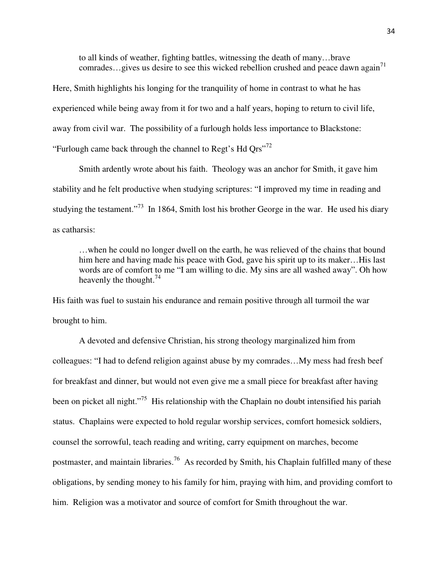to all kinds of weather, fighting battles, witnessing the death of many…brave comrades...gives us desire to see this wicked rebellion crushed and peace dawn again<sup>71</sup>

Here, Smith highlights his longing for the tranquility of home in contrast to what he has experienced while being away from it for two and a half years, hoping to return to civil life, away from civil war. The possibility of a furlough holds less importance to Blackstone: "Furlough came back through the channel to Regt's Hd  $Qrs$ "<sup>72</sup>

Smith ardently wrote about his faith. Theology was an anchor for Smith, it gave him stability and he felt productive when studying scriptures: "I improved my time in reading and studying the testament."<sup>73</sup> In 1864, Smith lost his brother George in the war. He used his diary as catharsis:

…when he could no longer dwell on the earth, he was relieved of the chains that bound him here and having made his peace with God, gave his spirit up to its maker...His last words are of comfort to me "I am willing to die. My sins are all washed away". Oh how heavenly the thought.  $74$ 

His faith was fuel to sustain his endurance and remain positive through all turmoil the war brought to him.

A devoted and defensive Christian, his strong theology marginalized him from colleagues: "I had to defend religion against abuse by my comrades…My mess had fresh beef for breakfast and dinner, but would not even give me a small piece for breakfast after having been on picket all night."<sup>75</sup> His relationship with the Chaplain no doubt intensified his pariah status. Chaplains were expected to hold regular worship services, comfort homesick soldiers, counsel the sorrowful, teach reading and writing, carry equipment on marches, become postmaster, and maintain libraries.<sup>76</sup> As recorded by Smith, his Chaplain fulfilled many of these obligations, by sending money to his family for him, praying with him, and providing comfort to him. Religion was a motivator and source of comfort for Smith throughout the war.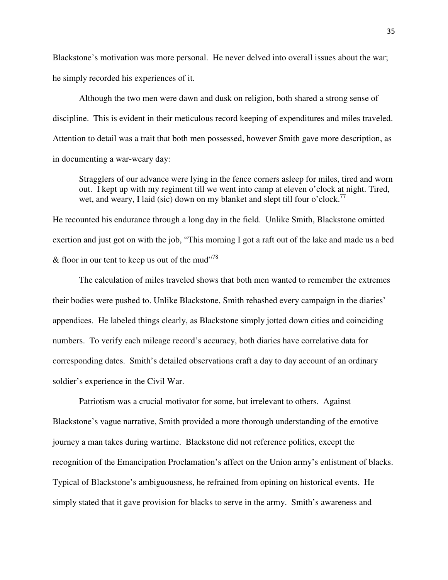Blackstone's motivation was more personal. He never delved into overall issues about the war; he simply recorded his experiences of it.

Although the two men were dawn and dusk on religion, both shared a strong sense of discipline. This is evident in their meticulous record keeping of expenditures and miles traveled. Attention to detail was a trait that both men possessed, however Smith gave more description, as in documenting a war-weary day:

Stragglers of our advance were lying in the fence corners asleep for miles, tired and worn out. I kept up with my regiment till we went into camp at eleven o'clock at night. Tired, wet, and weary, I laid (sic) down on my blanket and slept till four o'clock.<sup>77</sup>

He recounted his endurance through a long day in the field. Unlike Smith, Blackstone omitted exertion and just got on with the job, "This morning I got a raft out of the lake and made us a bed & floor in our tent to keep us out of the mud"<sup>78</sup>

The calculation of miles traveled shows that both men wanted to remember the extremes their bodies were pushed to. Unlike Blackstone, Smith rehashed every campaign in the diaries' appendices. He labeled things clearly, as Blackstone simply jotted down cities and coinciding numbers. To verify each mileage record's accuracy, both diaries have correlative data for corresponding dates. Smith's detailed observations craft a day to day account of an ordinary soldier's experience in the Civil War.

Patriotism was a crucial motivator for some, but irrelevant to others. Against Blackstone's vague narrative, Smith provided a more thorough understanding of the emotive journey a man takes during wartime. Blackstone did not reference politics, except the recognition of the Emancipation Proclamation's affect on the Union army's enlistment of blacks. Typical of Blackstone's ambiguousness, he refrained from opining on historical events. He simply stated that it gave provision for blacks to serve in the army. Smith's awareness and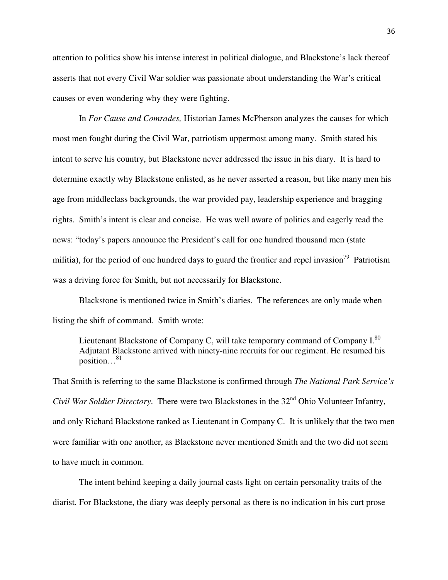attention to politics show his intense interest in political dialogue, and Blackstone's lack thereof asserts that not every Civil War soldier was passionate about understanding the War's critical causes or even wondering why they were fighting.

In *For Cause and Comrades,* Historian James McPherson analyzes the causes for which most men fought during the Civil War, patriotism uppermost among many. Smith stated his intent to serve his country, but Blackstone never addressed the issue in his diary. It is hard to determine exactly why Blackstone enlisted, as he never asserted a reason, but like many men his age from middleclass backgrounds, the war provided pay, leadership experience and bragging rights. Smith's intent is clear and concise. He was well aware of politics and eagerly read the news: "today's papers announce the President's call for one hundred thousand men (state militia), for the period of one hundred days to guard the frontier and repel invasion<sup>79</sup> Patriotism was a driving force for Smith, but not necessarily for Blackstone.

Blackstone is mentioned twice in Smith's diaries. The references are only made when listing the shift of command. Smith wrote:

Lieutenant Blackstone of Company C, will take temporary command of Company  $I^{80}$ . Adjutant Blackstone arrived with ninety-nine recruits for our regiment. He resumed his position…<sup>81</sup>

That Smith is referring to the same Blackstone is confirmed through *The National Park Service's Civil War Soldier Directory.* There were two Blackstones in the 32<sup>nd</sup> Ohio Volunteer Infantry, and only Richard Blackstone ranked as Lieutenant in Company C. It is unlikely that the two men were familiar with one another, as Blackstone never mentioned Smith and the two did not seem to have much in common.

The intent behind keeping a daily journal casts light on certain personality traits of the diarist. For Blackstone, the diary was deeply personal as there is no indication in his curt prose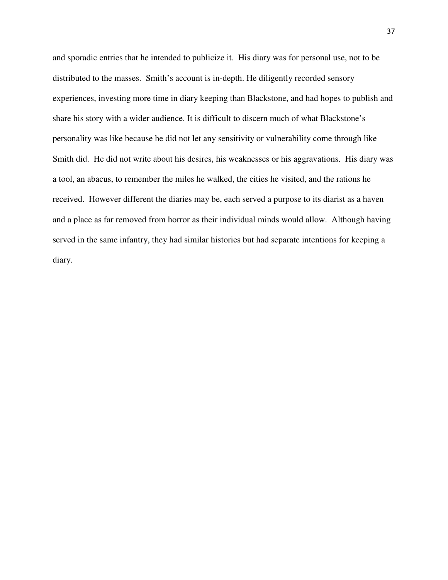and sporadic entries that he intended to publicize it. His diary was for personal use, not to be distributed to the masses. Smith's account is in-depth. He diligently recorded sensory experiences, investing more time in diary keeping than Blackstone, and had hopes to publish and share his story with a wider audience. It is difficult to discern much of what Blackstone's personality was like because he did not let any sensitivity or vulnerability come through like Smith did. He did not write about his desires, his weaknesses or his aggravations. His diary was a tool, an abacus, to remember the miles he walked, the cities he visited, and the rations he received. However different the diaries may be, each served a purpose to its diarist as a haven and a place as far removed from horror as their individual minds would allow. Although having served in the same infantry, they had similar histories but had separate intentions for keeping a diary.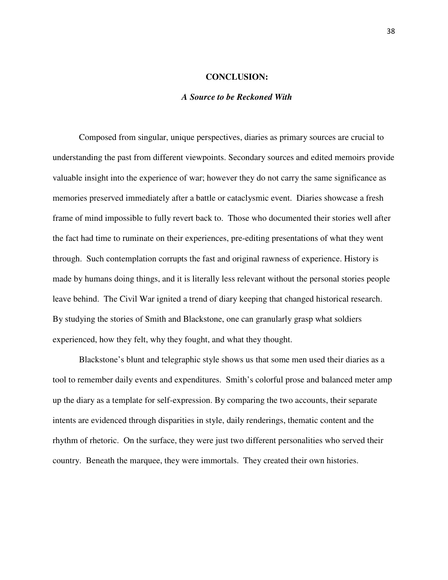# **CONCLUSION:**

# *A Source to be Reckoned With*

Composed from singular, unique perspectives, diaries as primary sources are crucial to understanding the past from different viewpoints. Secondary sources and edited memoirs provide valuable insight into the experience of war; however they do not carry the same significance as memories preserved immediately after a battle or cataclysmic event. Diaries showcase a fresh frame of mind impossible to fully revert back to. Those who documented their stories well after the fact had time to ruminate on their experiences, pre-editing presentations of what they went through. Such contemplation corrupts the fast and original rawness of experience. History is made by humans doing things, and it is literally less relevant without the personal stories people leave behind. The Civil War ignited a trend of diary keeping that changed historical research. By studying the stories of Smith and Blackstone, one can granularly grasp what soldiers experienced, how they felt, why they fought, and what they thought.

Blackstone's blunt and telegraphic style shows us that some men used their diaries as a tool to remember daily events and expenditures. Smith's colorful prose and balanced meter amp up the diary as a template for self-expression. By comparing the two accounts, their separate intents are evidenced through disparities in style, daily renderings, thematic content and the rhythm of rhetoric. On the surface, they were just two different personalities who served their country. Beneath the marquee, they were immortals. They created their own histories.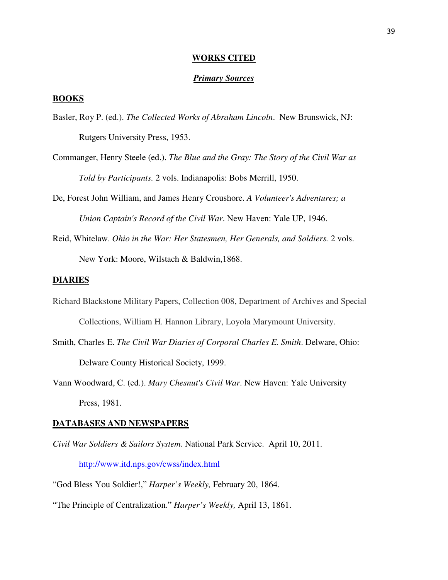#### **WORKS CITED**

## *Primary Sources*

# **BOOKS**

- Basler, Roy P. (ed.). *The Collected Works of Abraham Lincoln*. New Brunswick, NJ: Rutgers University Press, 1953.
- Commanger, Henry Steele (ed.). *The Blue and the Gray: The Story of the Civil War as Told by Participants.* 2 vols. Indianapolis: Bobs Merrill, 1950.
- De, Forest John William, and James Henry Croushore. *A Volunteer's Adventures; a Union Captain's Record of the Civil War*. New Haven: Yale UP, 1946.
- Reid, Whitelaw. *Ohio in the War: Her Statesmen, Her Generals, and Soldiers.* 2 vols. New York: Moore, Wilstach & Baldwin,1868.

#### **DIARIES**

- Richard Blackstone Military Papers, Collection 008, Department of Archives and Special Collections, William H. Hannon Library, Loyola Marymount University.
- Smith, Charles E. *The Civil War Diaries of Corporal Charles E. Smith*. Delware, Ohio: Delware County Historical Society, 1999.
- Vann Woodward, C. (ed.). *Mary Chesnut's Civil War*. New Haven: Yale University Press, 1981.

#### **DATABASES AND NEWSPAPERS**

*Civil War Soldiers & Sailors System.* National Park Service. April 10, 2011.

http://www.itd.nps.gov/cwss/index.html

"God Bless You Soldier!," *Harper's Weekly,* February 20, 1864.

"The Principle of Centralization." *Harper's Weekly,* April 13, 1861.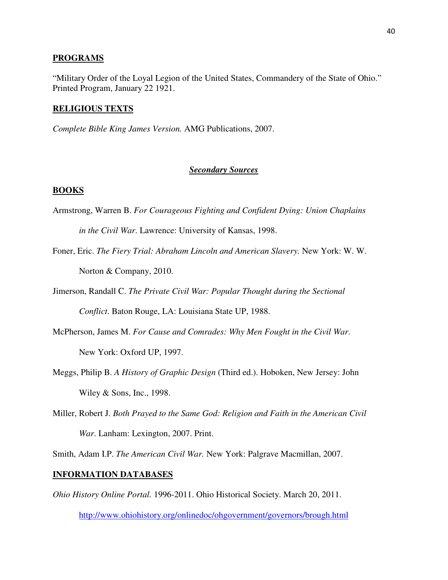#### **PROGRAMS**

"Military Order of the Loyal Legion of the United States, Commandery of the State of Ohio." Printed Program, January 22 1921.

# **RELIGIOUS TEXTS**

*Complete Bible King James Version.* AMG Publications, 2007.

## *Secondary Sources*

# **BOOKS**

Armstrong, Warren B. *For Courageous Fighting and Confident Dying: Union Chaplains* 

*in the Civil War*. Lawrence: University of Kansas, 1998.

Foner, Eric. *The Fiery Trial: Abraham Lincoln and American Slavery.* New York: W. W. Norton & Company, 2010.

Jimerson, Randall C. *The Private Civil War: Popular Thought during the Sectional Conflict*. Baton Rouge, LA: Louisiana State UP, 1988.

- McPherson, James M. *For Cause and Comrades: Why Men Fought in the Civil War*. New York: Oxford UP, 1997.
- Meggs, Philip B. *A History of Graphic Design* (Third ed.). Hoboken, New Jersey: John Wiley & Sons, Inc., 1998.
- Miller, Robert J. *Both Prayed to the Same God: Religion and Faith in the American Civil War*. Lanham: Lexington, 2007. Print.

Smith, Adam I.P. *The American Civil War.* New York: Palgrave Macmillan, 2007.

#### **INFORMATION DATABASES**

*Ohio History Online Portal.* 1996-2011. Ohio Historical Society. March 20, 2011.

```
http://www.ohiohistory.org/onlinedoc/ohgovernment/governors/brough.html
```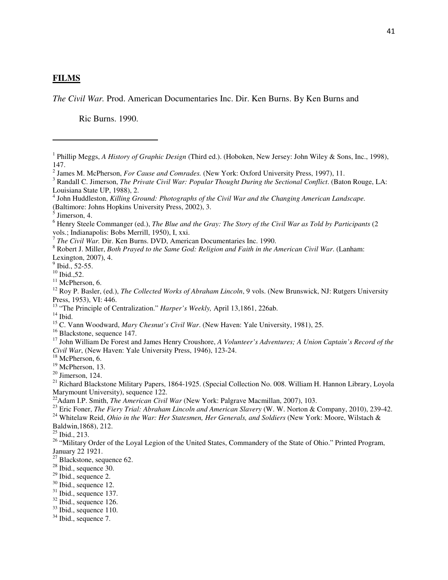# **FILMS**

l

*The Civil War.* Prod. American Documentaries Inc. Dir. Ken Burns. By Ken Burns and

Ric Burns. 1990.

<sup>13</sup> "The Principle of Centralization." *Harper's Weekly*, April 13,1861, 226ab.

 $14$  Ibid.

<sup>16</sup> Blackstone, sequence 147.

<sup>18</sup> McPherson, 6.

 $20$  Jimerson, 124.

<sup>22</sup>Adam I.P. Smith, *The American Civil War* (New York: Palgrave Macmillan, 2007), 103.

<sup>24</sup> Whitelaw Reid, *Ohio in the War: Her Statesmen, Her Generals, and Soldiers* (New York: Moore, Wilstach &

Baldwin,1868), 212.

 $25$  Ibid., 213.

<sup>26</sup> "Military Order of the Loyal Legion of the United States, Commandery of the State of Ohio." Printed Program, January 22 1921.

<sup>27</sup> Blackstone, sequence 62.

- $28$  Ibid., sequence 30.
- $29$  Ibid., sequence 2.
- <sup>30</sup> Ibid., sequence 12.
- $31$  Ibid., sequence 137.
- $32$  Ibid., sequence 126.
- $33$  Ibid., sequence 110.

<sup>&</sup>lt;sup>1</sup> Phillip Meggs, *A History of Graphic Design* (Third ed.). (Hoboken, New Jersey: John Wiley & Sons, Inc., 1998), 147.

<sup>2</sup> James M. McPherson, *For Cause and Comrades.* (New York: Oxford University Press, 1997), 11.

<sup>&</sup>lt;sup>3</sup> Randall C. Jimerson, *The Private Civil War: Popular Thought During the Sectional Conflict*. (Baton Rouge, LA: Louisiana State UP, 1988), 2.

<sup>&</sup>lt;sup>4</sup> John Huddleston, *Killing Ground: Photographs of the Civil War and the Changing American Landscape.* (Baltimore: Johns Hopkins University Press, 2002), 3.

<sup>5</sup> Jimerson, 4.

<sup>&</sup>lt;sup>6</sup> Henry Steele Commanger (ed.), *The Blue and the Gray: The Story of the Civil War as Told by Participants* (2 vols.; Indianapolis: Bobs Merrill, 1950), I, xxi.

<sup>7</sup> *The Civil War.* Dir. Ken Burns. DVD, American Documentaries Inc. 1990.

<sup>8</sup> Robert J. Miller, *Both Prayed to the Same God: Religion and Faith in the American Civil War*. (Lanham: Lexington, 2007), 4.

 $9$  Ibid., 52-55.

 $10$  Ibid., 52.

 $11$  McPherson, 6.

<sup>&</sup>lt;sup>12</sup> Roy P. Basler, (ed.), *The Collected Works of Abraham Lincoln*, 9 vols. (New Brunswick, NJ: Rutgers University Press, 1953), VI: 446.

<sup>15</sup> C. Vann Woodward, *Mary Chesnut's Civil War*. (New Haven: Yale University, 1981), 25.

<sup>17</sup> John William De Forest and James Henry Croushore, *A Volunteer's Adventures; A Union Captain's Record of the Civil War*, (New Haven: Yale University Press, 1946), 123-24.

<sup>&</sup>lt;sup>19</sup> McPherson, 13.

<sup>&</sup>lt;sup>21</sup> Richard Blackstone Military Papers, 1864-1925. (Special Collection No. 008. William H. Hannon Library, Loyola Marymount University), sequence 122.

<sup>&</sup>lt;sup>23</sup> Eric Foner, *The Fiery Trial: Abraham Lincoln and American Slavery* (W. W. Norton & Company, 2010), 239-42.

 $34$  Ibid., sequence 7.